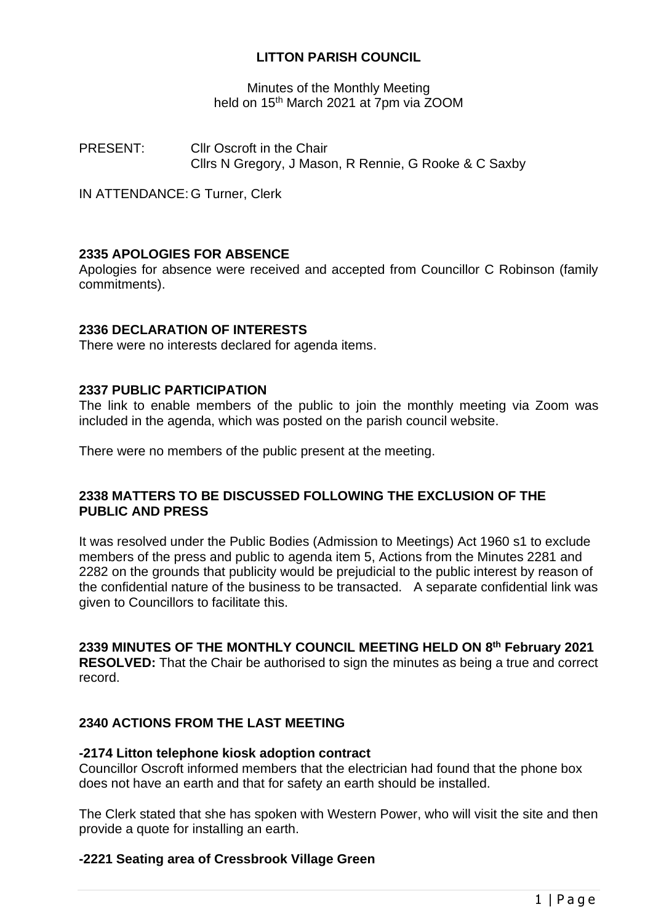# **LITTON PARISH COUNCIL**

Minutes of the Monthly Meeting held on 15<sup>th</sup> March 2021 at 7pm via ZOOM

PRESENT: Cllr Oscroft in the Chair Cllrs N Gregory, J Mason, R Rennie, G Rooke & C Saxby

IN ATTENDANCE: G Turner, Clerk

#### **2335 APOLOGIES FOR ABSENCE**

Apologies for absence were received and accepted from Councillor C Robinson (family commitments).

#### **2336 DECLARATION OF INTERESTS**

There were no interests declared for agenda items.

#### **2337 PUBLIC PARTICIPATION**

The link to enable members of the public to join the monthly meeting via Zoom was included in the agenda, which was posted on the parish council website.

There were no members of the public present at the meeting.

#### **2338 MATTERS TO BE DISCUSSED FOLLOWING THE EXCLUSION OF THE PUBLIC AND PRESS**

It was resolved under the Public Bodies (Admission to Meetings) Act 1960 s1 to exclude members of the press and public to agenda item 5, Actions from the Minutes 2281 and 2282 on the grounds that publicity would be prejudicial to the public interest by reason of the confidential nature of the business to be transacted. A separate confidential link was given to Councillors to facilitate this.

#### **2339 MINUTES OF THE MONTHLY COUNCIL MEETING HELD ON 8 th February 2021**

**RESOLVED:** That the Chair be authorised to sign the minutes as being a true and correct record.

#### **2340 ACTIONS FROM THE LAST MEETING**

#### **-2174 Litton telephone kiosk adoption contract**

Councillor Oscroft informed members that the electrician had found that the phone box does not have an earth and that for safety an earth should be installed.

The Clerk stated that she has spoken with Western Power, who will visit the site and then provide a quote for installing an earth.

#### **-2221 Seating area of Cressbrook Village Green**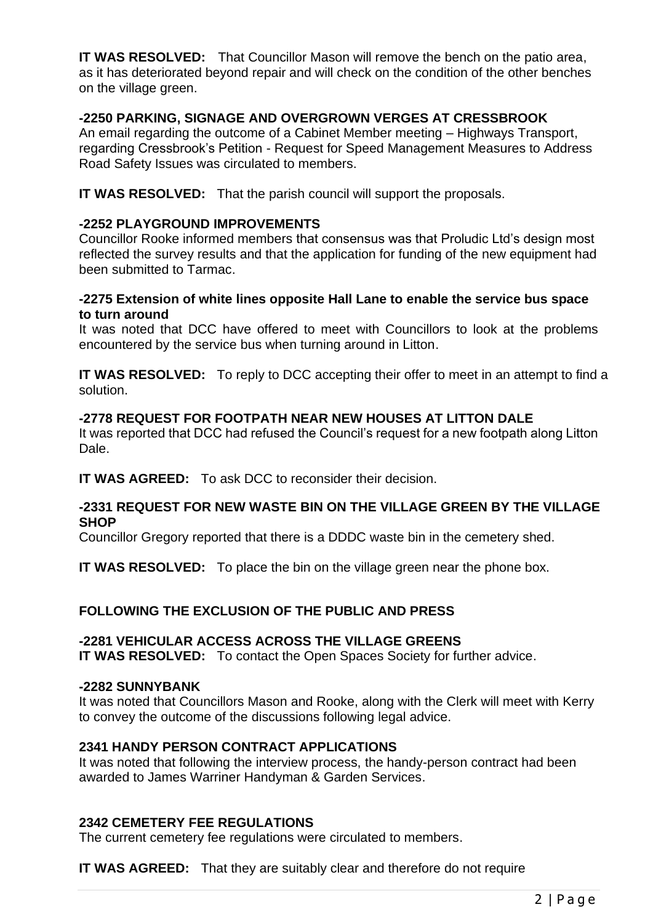**IT WAS RESOLVED:** That Councillor Mason will remove the bench on the patio area, as it has deteriorated beyond repair and will check on the condition of the other benches on the village green.

## **-2250 PARKING, SIGNAGE AND OVERGROWN VERGES AT CRESSBROOK**

An email regarding the outcome of a Cabinet Member meeting – Highways Transport, regarding Cressbrook's Petition - Request for Speed Management Measures to Address Road Safety Issues was circulated to members.

**IT WAS RESOLVED:** That the parish council will support the proposals.

# **-2252 PLAYGROUND IMPROVEMENTS**

Councillor Rooke informed members that consensus was that Proludic Ltd's design most reflected the survey results and that the application for funding of the new equipment had been submitted to Tarmac.

#### **-2275 Extension of white lines opposite Hall Lane to enable the service bus space to turn around**

It was noted that DCC have offered to meet with Councillors to look at the problems encountered by the service bus when turning around in Litton.

**IT WAS RESOLVED:** To reply to DCC accepting their offer to meet in an attempt to find a solution.

## **-2778 REQUEST FOR FOOTPATH NEAR NEW HOUSES AT LITTON DALE**

It was reported that DCC had refused the Council's request for a new footpath along Litton Dale.

**IT WAS AGREED:** To ask DCC to reconsider their decision.

#### **-2331 REQUEST FOR NEW WASTE BIN ON THE VILLAGE GREEN BY THE VILLAGE SHOP**

Councillor Gregory reported that there is a DDDC waste bin in the cemetery shed.

**IT WAS RESOLVED:** To place the bin on the village green near the phone box.

#### **FOLLOWING THE EXCLUSION OF THE PUBLIC AND PRESS**

#### **-2281 VEHICULAR ACCESS ACROSS THE VILLAGE GREENS**

**IT WAS RESOLVED:** To contact the Open Spaces Society for further advice.

#### **-2282 SUNNYBANK**

It was noted that Councillors Mason and Rooke, along with the Clerk will meet with Kerry to convey the outcome of the discussions following legal advice.

#### **2341 HANDY PERSON CONTRACT APPLICATIONS**

It was noted that following the interview process, the handy-person contract had been awarded to James Warriner Handyman & Garden Services.

#### **2342 CEMETERY FEE REGULATIONS**

The current cemetery fee regulations were circulated to members.

**IT WAS AGREED:** That they are suitably clear and therefore do not require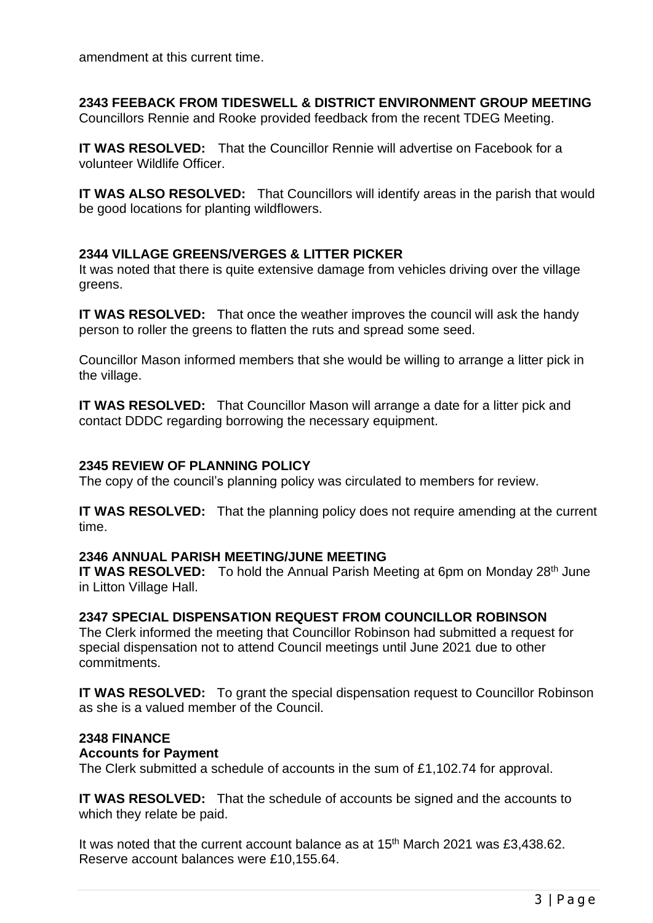amendment at this current time.

# **2343 FEEBACK FROM TIDESWELL & DISTRICT ENVIRONMENT GROUP MEETING**

Councillors Rennie and Rooke provided feedback from the recent TDEG Meeting.

**IT WAS RESOLVED:** That the Councillor Rennie will advertise on Facebook for a volunteer Wildlife Officer.

**IT WAS ALSO RESOLVED:** That Councillors will identify areas in the parish that would be good locations for planting wildflowers.

# **2344 VILLAGE GREENS/VERGES & LITTER PICKER**

It was noted that there is quite extensive damage from vehicles driving over the village greens.

**IT WAS RESOLVED:** That once the weather improves the council will ask the handy person to roller the greens to flatten the ruts and spread some seed.

Councillor Mason informed members that she would be willing to arrange a litter pick in the village.

**IT WAS RESOLVED:** That Councillor Mason will arrange a date for a litter pick and contact DDDC regarding borrowing the necessary equipment.

#### **2345 REVIEW OF PLANNING POLICY**

The copy of the council's planning policy was circulated to members for review.

**IT WAS RESOLVED:** That the planning policy does not require amending at the current time.

#### **2346 ANNUAL PARISH MEETING/JUNE MEETING**

**IT WAS RESOLVED:** To hold the Annual Parish Meeting at 6pm on Monday 28<sup>th</sup> June in Litton Village Hall.

#### **2347 SPECIAL DISPENSATION REQUEST FROM COUNCILLOR ROBINSON**

The Clerk informed the meeting that Councillor Robinson had submitted a request for special dispensation not to attend Council meetings until June 2021 due to other commitments.

**IT WAS RESOLVED:** To grant the special dispensation request to Councillor Robinson as she is a valued member of the Council.

#### **2348 FINANCE**

#### **Accounts for Payment**

The Clerk submitted a schedule of accounts in the sum of £1,102.74 for approval.

**IT WAS RESOLVED:** That the schedule of accounts be signed and the accounts to which they relate be paid.

It was noted that the current account balance as at 15<sup>th</sup> March 2021 was £3,438.62. Reserve account balances were £10,155.64.